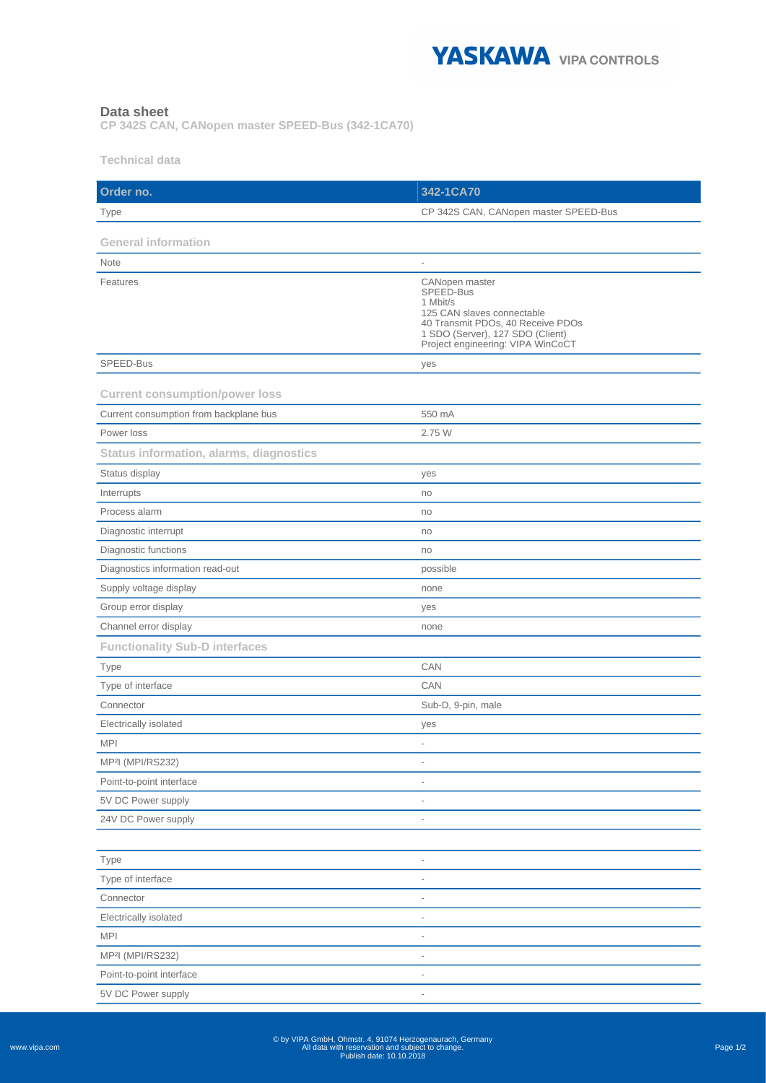

## **Data sheet**

**CP 342S CAN, CANopen master SPEED-Bus (342-1CA70)**

**Technical data**

| Order no.                                      | 342-1CA70                                                                                                                                                                           |
|------------------------------------------------|-------------------------------------------------------------------------------------------------------------------------------------------------------------------------------------|
| Type                                           | CP 342S CAN, CANopen master SPEED-Bus                                                                                                                                               |
|                                                |                                                                                                                                                                                     |
| <b>General information</b>                     |                                                                                                                                                                                     |
| Note                                           | $\overline{\phantom{a}}$                                                                                                                                                            |
| Features                                       | CANopen master<br>SPEED-Bus<br>1 Mbit/s<br>125 CAN slaves connectable<br>40 Transmit PDOs, 40 Receive PDOs<br>1 SDO (Server), 127 SDO (Client)<br>Project engineering: VIPA WinCoCT |
| SPEED-Bus                                      | yes                                                                                                                                                                                 |
| <b>Current consumption/power loss</b>          |                                                                                                                                                                                     |
| Current consumption from backplane bus         | 550 mA                                                                                                                                                                              |
| Power loss                                     | 2.75 W                                                                                                                                                                              |
| <b>Status information, alarms, diagnostics</b> |                                                                                                                                                                                     |
| Status display                                 | yes                                                                                                                                                                                 |
| Interrupts                                     | no                                                                                                                                                                                  |
| Process alarm                                  | no                                                                                                                                                                                  |
| Diagnostic interrupt                           | no                                                                                                                                                                                  |
| Diagnostic functions                           | no                                                                                                                                                                                  |
| Diagnostics information read-out               | possible                                                                                                                                                                            |
| Supply voltage display                         | none                                                                                                                                                                                |
| Group error display                            | yes                                                                                                                                                                                 |
| Channel error display                          | none                                                                                                                                                                                |
| <b>Functionality Sub-D interfaces</b>          |                                                                                                                                                                                     |
| <b>Type</b>                                    | CAN                                                                                                                                                                                 |
| Type of interface                              | CAN                                                                                                                                                                                 |
| Connector                                      | Sub-D, 9-pin, male                                                                                                                                                                  |
| Electrically isolated                          | yes                                                                                                                                                                                 |
| <b>MPI</b>                                     | ä,                                                                                                                                                                                  |
| MP <sup>2</sup> I (MPI/RS232)                  | $\overline{\phantom{a}}$                                                                                                                                                            |
| Point-to-point interface                       | $\overline{\phantom{a}}$                                                                                                                                                            |
| 5V DC Power supply                             |                                                                                                                                                                                     |
| 24V DC Power supply                            | $\overline{\phantom{a}}$                                                                                                                                                            |
|                                                |                                                                                                                                                                                     |
| <b>Type</b>                                    | $\overline{a}$                                                                                                                                                                      |
| Type of interface                              |                                                                                                                                                                                     |
| Connector                                      |                                                                                                                                                                                     |
| Electrically isolated                          | $\overline{\phantom{a}}$                                                                                                                                                            |
| <b>MPI</b>                                     | $\overline{\phantom{a}}$                                                                                                                                                            |
| MP <sup>2</sup> l (MPI/RS232)                  | $\overline{a}$                                                                                                                                                                      |
| Point-to-point interface                       | $\overline{\phantom{a}}$                                                                                                                                                            |
| 5V DC Power supply                             | $\overline{\phantom{a}}$                                                                                                                                                            |